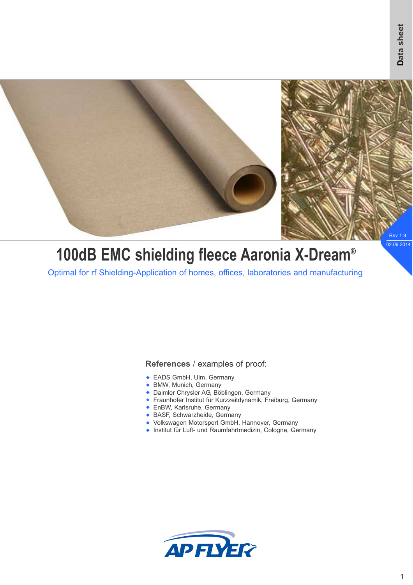

# **100dB EMC shielding fleece Aaronia X-Dream®**

Optimal for rf Shielding-Application of homes, offices, laboratories and manufacturing

#### **References** / examples of proof:

- EADS GmbH, Ulm, Germany
- ◆ BMW, Munich, Germany
- ◆ Daimler Chrysler AG, Böblingen, Germany
- Fraunhofer Institut für Kurzzeitdynamik, Freiburg, Germany w
- **EnBW, Karlsruhe, Germany**
- ◆ BASF, Schwarzheide, Germany
- ◆ Volkswagen Motorsport GmbH, Hannover, Germany
- ◆ Institut für Luft- und Raumfahrtmedizin, Cologne, Germany

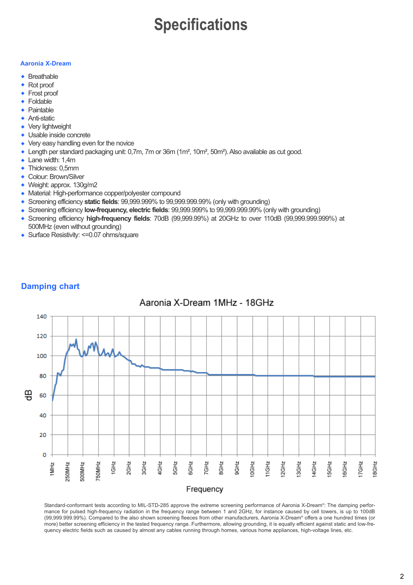## **Specifications**

#### **Aaronia X-Dream**

- $\triangle$  Breathable
- Rot proof w
- Frost proof w
- Foldable w
- Paintable  $\ddot{\bullet}$
- Anti-static  $\blacktriangle$
- Very lightweight  $\ddot{\bullet}$
- ◆ Usable inside concrete
- Very easy handling even for the novice
- ◆ Length per standard packaging unit: 0,7m, 7m or 36m (1m<sup>2</sup>, 10m<sup>2</sup>, 50m<sup>2</sup>). Also available as cut good.
- Lane width: 1,4m
- Thickness: 0,5mm
- Colour: Brown/Silver
- ◆ Weight: approx. 130g/m2
- Material: High-performance copper/polyester compound
- ◆ Screening efficiency static fields: 99,999.999% to 99,999.999.99% (only with grounding)
- ◆ Screening efficiency low-frequency, electric fields: 99,999.999% to 99,999.999.99% (only with grounding)
- Screening efficiency **high-frequency fields**: 70dB (99,999.99%) at 20GHz to over 110dB (99,999.999.999%) at w 500MHz (even without grounding)
- ◆ Surface Resistivity: <= 0.07 ohms/square

### **Damping chart**

### Aaronia X-Dream 1MHz - 18GHz



Standard-conformant tests according to MIL-STD-285 approve the extreme screening performance of Aaronia X-Dream® : The damping performance for pulsed high-frequency radiation in the frequency range between 1 and 2GHz, for instance caused by cell towers, is up to 100dB (99,999.999.99%). Compared to the also shown screening fleeces from other manufacturers, Aaronia X-Dream® offers a one hundred times (or more) better screening efficiency in the tested frequency range. Furthermore, allowing grounding, it is equally efficient against static and low-frequency electric fields such as caused by almost any cables running through homes, various home appliances, high-voltage lines, etc.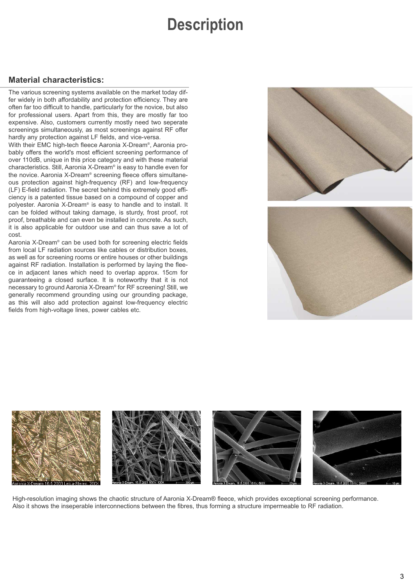## **Description**

#### **Material characteristics:**

The various screening systems available on the market today differ widely in both affordability and protection efficiency. They are often far too difficult to handle, particularly for the novice, but also for professional users. Apart from this, they are mostly far too expensive. Also, customers currently mostly need two seperate screenings simultaneously, as most screenings against RF offer hardly any protection against LF fields, and vice-versa.

With their EMC high-tech fleece Aaronia X-Dream® , Aaronia probably offers the world's most efficient screening performance of over 110dB, unique in this price category and with these material characteristics. Still, Aaronia X-Dream® is easy to handle even for the novice. Aaronia X-Dream® screening fleece offers simultaneous protection against high-frequency (RF) and low-frequency (LF) E-field radiation. The secret behind this extremely good efficiency is a patented tissue based on a compound of copper and polyester. Aaronia X-Dream® is easy to handle and to install. It can be folded without taking damage, is sturdy, frost proof, rot proof, breathable and can even be installed in concrete. As such, it is also applicable for outdoor use and can thus save a lot of cost.

Aaronia X-Dream® can be used both for screening electric fields from local LF radiation sources like cables or distribution boxes, as well as for screening rooms or entire houses or other buildings against RF radiation. Installation is performed by laying the fleece in adjacent lanes which need to overlap approx. 15cm for guaranteeing a closed surface. It is noteworthy that it is not necessary to ground Aaronia X-Dream® for RF screening! Still, we generally recommend grounding using our grounding package, as this will also add protection against low-frequency electric fields from high-voltage lines, power cables etc.







High-resolution imaging shows the chaotic structure of Aaronia X-Dream® fleece, which provides exceptional screening performance. Also it shows the inseperable interconnections between the fibres, thus forming a structure impermeable to RF radiation.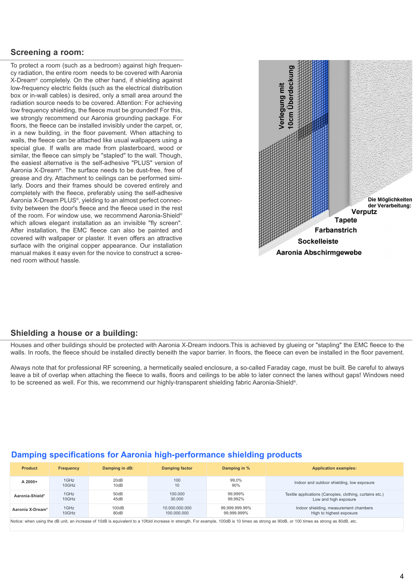#### **Screening a room:**

To protect a room (such as a bedroom) against high frequency radiation, the entire room needs to be covered with Aaronia X-Dream® completely. On the other hand, if shielding against low-frequency electric fields (such as the electrical distribution box or in-wall cables) is desired, only a small area around the radiation source needs to be covered. Attention: For achieving low frequency shielding, the fleece must be grounded! For this, we strongly recommend our Aaronia grounding package. For floors, the fleece can be installed invisibly under the carpet, or, in a new building, in the floor pavement. When attaching to walls, the fleece can be attached like usual wallpapers using a special glue. If walls are made from plasterboard, wood or similar, the fleece can simply be "stapled" to the wall. Though, the easiest alternative is the self-adhesive "PLUS" version of Aaronia X-Dream® . The surface needs to be dust-free, free of grease and dry. Attachment to ceilings can be performed similarly. Doors and their frames should be covered entirely and completely with the fleece, preferably using the self-adhesive Aaronia X-Dream PLUS® , yielding to an almost perfect connectivity between the door's fleece and the fleece used in the rest of the room. For window use, we recommend Aaronia-Shield® which allows elegant installation as an invisible "fly screen". After installation, the EMC fleece can also be painted and covered with wallpaper or plaster. It even offers an attractive surface with the original copper appearance. Our installation manual makes it easy even for the novice to construct a screened room without hassle.



#### **Shielding a house or a building:**

Houses and other buildings should be protected with Aaronia X-Dream indoors.This is achieved by glueing or "stapling" the EMC fleece to the walls. In roofs, the fleece should be installed directly beneith the vapor barrier. In floors, the fleece can even be installed in the floor pavement.

Always note that for professional RF screening, a hermetically sealed enclosure, a so-called Faraday cage, must be built. Be careful to always leave a bit of overlap when attaching the fleece to walls, floors and ceilings to be able to later connect the lanes without gaps! Windows need to be screened as well. For this, we recommend our highly-transparent shielding fabric Aaronia-Shield® .

| <b>Product</b>                                                                                                                                                                             | <b>Frequency</b> | Damping in dB: | <b>Damping factor</b>         | Damping in %                  | <b>Application examples:</b>                                                      |
|--------------------------------------------------------------------------------------------------------------------------------------------------------------------------------------------|------------------|----------------|-------------------------------|-------------------------------|-----------------------------------------------------------------------------------|
| A 2000+                                                                                                                                                                                    | 1GHz<br>10GHz    | 20dB<br>10dB   | 100<br>10                     | 99,0%<br>90%                  | Indoor and outdoor shielding, low exposure                                        |
| Aaronia-Shield <sup>®</sup>                                                                                                                                                                | 1GHz<br>10GHz    | 50dB<br>45dB   | 100,000<br>30,000             | 99.999%<br>99.992%            | Textile applications (Canopies, clothing, curtains etc.)<br>Low and high exposure |
| Aaronia X-Dream <sup>®</sup>                                                                                                                                                               | 1GHz<br>10GHz    | 100dB<br>80dB  | 10.000.000.000<br>100.000.000 | 99.999.999.99%<br>99.999.999% | Indoor shielding, measurement chambers<br>High to highest exposure                |
| Notice: when using the dB unit, an increase of 10dB is equivalent to a 10fold increase in strength. For example, 100dB is 10 times as strong as 90dB, or 100 times as strong as 80dB, etc. |                  |                |                               |                               |                                                                                   |

#### **Damping specifications for Aaronia high-performance shielding products**